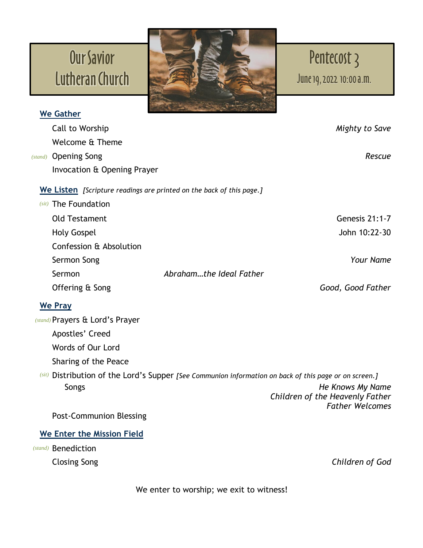## Our Savior Lutheran Church



## Pentecost 3

June19,2022 10:00a.m.

| Mighty to Save                                                                                         |
|--------------------------------------------------------------------------------------------------------|
|                                                                                                        |
| Rescue                                                                                                 |
| Invocation & Opening Prayer                                                                            |
| We Listen [Scripture readings are printed on the back of this page.]                                   |
|                                                                                                        |
| <b>Genesis 21:1-7</b>                                                                                  |
| John 10:22-30                                                                                          |
|                                                                                                        |
| <b>Your Name</b>                                                                                       |
| Abrahamthe Ideal Father                                                                                |
| Good, Good Father                                                                                      |
|                                                                                                        |
|                                                                                                        |
|                                                                                                        |
|                                                                                                        |
|                                                                                                        |
| (sit) Distribution of the Lord's Supper [See Communion information on back of this page or on screen.] |
| He Knows My Name<br>Children of the Heavenly Father                                                    |
| <b>Father Welcomes</b>                                                                                 |
|                                                                                                        |
|                                                                                                        |
|                                                                                                        |
| Children of God                                                                                        |
|                                                                                                        |

We enter to worship; we exit to witness!